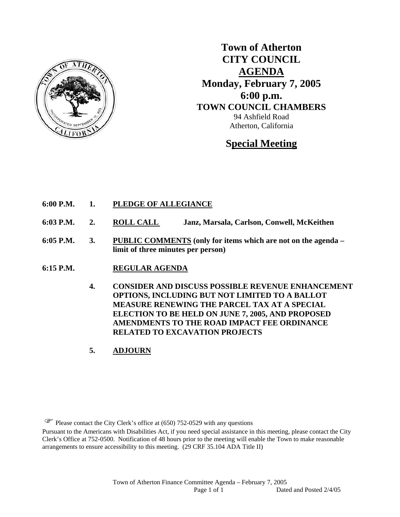

**Town of Atherton CITY COUNCIL AGENDA Monday, February 7, 2005 6:00 p.m. TOWN COUNCIL CHAMBERS** 94 Ashfield Road Atherton, California

# **Special Meeting**

- **6:00 P.M. 1. PLEDGE OF ALLEGIANCE**
- **6:03 P.M. 2. ROLL CALL Janz, Marsala, Carlson, Conwell, McKeithen**
- **6:05 P.M. 3. PUBLIC COMMENTS (only for items which are not on the agenda limit of three minutes per person)**
- **6:15 P.M. REGULAR AGENDA**
	- **4. CONSIDER AND DISCUSS POSSIBLE REVENUE ENHANCEMENT OPTIONS, INCLUDING BUT NOT LIMITED TO A BALLOT MEASURE RENEWING THE PARCEL TAX AT A SPECIAL ELECTION TO BE HELD ON JUNE 7, 2005, AND PROPOSED AMENDMENTS TO THE ROAD IMPACT FEE ORDINANCE RELATED TO EXCAVATION PROJECTS**
	- **5. ADJOURN**

 $\mathbb{G}^*$  Please contact the City Clerk's office at (650) 752-0529 with any questions

Pursuant to the Americans with Disabilities Act, if you need special assistance in this meeting, please contact the City Clerk's Office at 752-0500. Notification of 48 hours prior to the meeting will enable the Town to make reasonable arrangements to ensure accessibility to this meeting. (29 CRF 35.104 ADA Title II)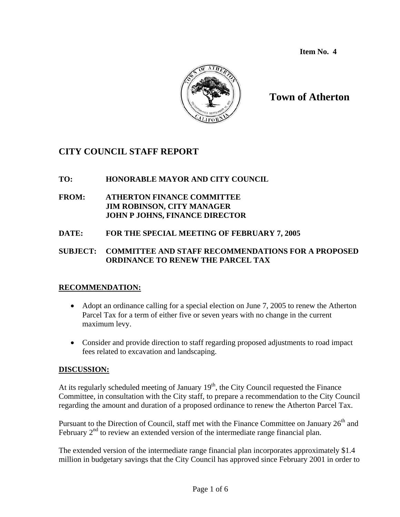**Item No. 4**



# **Town of Atherton**

# **CITY COUNCIL STAFF REPORT**

# **TO: HONORABLE MAYOR AND CITY COUNCIL**

- **FROM: ATHERTON FINANCE COMMITTEE JIM ROBINSON, CITY MANAGER JOHN P JOHNS, FINANCE DIRECTOR**
- **DATE: FOR THE SPECIAL MEETING OF FEBRUARY 7, 2005**

# **SUBJECT: COMMITTEE AND STAFF RECOMMENDATIONS FOR A PROPOSED ORDINANCE TO RENEW THE PARCEL TAX**

## **RECOMMENDATION:**

- Adopt an ordinance calling for a special election on June 7, 2005 to renew the Atherton Parcel Tax for a term of either five or seven years with no change in the current maximum levy.
- Consider and provide direction to staff regarding proposed adjustments to road impact fees related to excavation and landscaping.

## **DISCUSSION:**

At its regularly scheduled meeting of January  $19<sup>th</sup>$ , the City Council requested the Finance Committee, in consultation with the City staff, to prepare a recommendation to the City Council regarding the amount and duration of a proposed ordinance to renew the Atherton Parcel Tax.

Pursuant to the Direction of Council, staff met with the Finance Committee on January  $26<sup>th</sup>$  and February  $2<sup>nd</sup>$  to review an extended version of the intermediate range financial plan.

The extended version of the intermediate range financial plan incorporates approximately \$1.4 million in budgetary savings that the City Council has approved since February 2001 in order to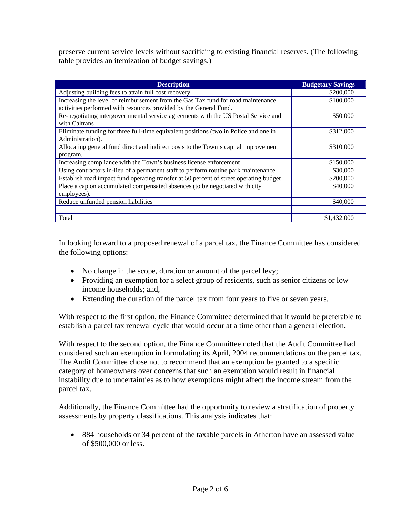preserve current service levels without sacrificing to existing financial reserves. (The following table provides an itemization of budget savings.)

| <b>Description</b>                                                                                                                                    | <b>Budgetary Savings</b> |
|-------------------------------------------------------------------------------------------------------------------------------------------------------|--------------------------|
| Adjusting building fees to attain full cost recovery.                                                                                                 | \$200,000                |
| Increasing the level of reimbursement from the Gas Tax fund for road maintenance<br>activities performed with resources provided by the General Fund. | \$100,000                |
| Re-negotiating intergovernmental service agreements with the US Postal Service and<br>with Caltrans                                                   | \$50,000                 |
| Eliminate funding for three full-time equivalent positions (two in Police and one in<br>Administration).                                              | \$312,000                |
| Allocating general fund direct and indirect costs to the Town's capital improvement<br>program.                                                       | \$310,000                |
| Increasing compliance with the Town's business license enforcement                                                                                    | \$150,000                |
| Using contractors in-lieu of a permanent staff to perform routine park maintenance.                                                                   | \$30,000                 |
| Establish road impact fund operating transfer at 50 percent of street operating budget                                                                | \$200,000                |
| Place a cap on accumulated compensated absences (to be negotiated with city<br>employees).                                                            | \$40,000                 |
| Reduce unfunded pension liabilities                                                                                                                   | \$40,000                 |
|                                                                                                                                                       |                          |
| Total                                                                                                                                                 | \$1,432,000              |

In looking forward to a proposed renewal of a parcel tax, the Finance Committee has considered the following options:

- No change in the scope, duration or amount of the parcel levy;
- Providing an exemption for a select group of residents, such as senior citizens or low income households; and,
- Extending the duration of the parcel tax from four years to five or seven years.

With respect to the first option, the Finance Committee determined that it would be preferable to establish a parcel tax renewal cycle that would occur at a time other than a general election.

With respect to the second option, the Finance Committee noted that the Audit Committee had considered such an exemption in formulating its April, 2004 recommendations on the parcel tax. The Audit Committee chose not to recommend that an exemption be granted to a specific category of homeowners over concerns that such an exemption would result in financial instability due to uncertainties as to how exemptions might affect the income stream from the parcel tax.

Additionally, the Finance Committee had the opportunity to review a stratification of property assessments by property classifications. This analysis indicates that:

• 884 households or 34 percent of the taxable parcels in Atherton have an assessed value of \$500,000 or less.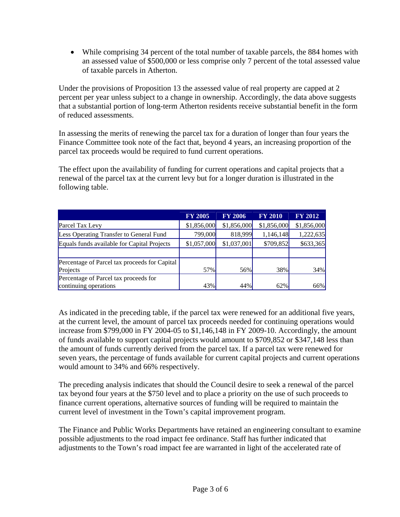• While comprising 34 percent of the total number of taxable parcels, the 884 homes with an assessed value of \$500,000 or less comprise only 7 percent of the total assessed value of taxable parcels in Atherton.

Under the provisions of Proposition 13 the assessed value of real property are capped at 2 percent per year unless subject to a change in ownership. Accordingly, the data above suggests that a substantial portion of long-term Atherton residents receive substantial benefit in the form of reduced assessments.

In assessing the merits of renewing the parcel tax for a duration of longer than four years the Finance Committee took note of the fact that, beyond 4 years, an increasing proportion of the parcel tax proceeds would be required to fund current operations.

The effect upon the availability of funding for current operations and capital projects that a renewal of the parcel tax at the current levy but for a longer duration is illustrated in the following table.

|                                               | <b>FY 2005</b> | <b>FY 2006</b> | <b>FY 2010</b> | <b>FY 2012</b> |
|-----------------------------------------------|----------------|----------------|----------------|----------------|
| Parcel Tax Levy                               | \$1,856,000    | \$1,856,000    | \$1,856,000    | \$1,856,000    |
| Less Operating Transfer to General Fund       | 799,000        | 818,999        | 1,146,148      | 1,222,635      |
| Equals funds available for Capital Projects   | \$1,057,000    | \$1,037,001    | \$709,852      | \$633,365      |
|                                               |                |                |                |                |
| Percentage of Parcel tax proceeds for Capital |                |                |                |                |
| Projects                                      | 57%            | 56%            | 38%            | 34%            |
| Percentage of Parcel tax proceeds for         |                |                |                |                |
| continuing operations                         | 43%            | 44%            | 62%            | 66%            |

As indicated in the preceding table, if the parcel tax were renewed for an additional five years, at the current level, the amount of parcel tax proceeds needed for continuing operations would increase from \$799,000 in FY 2004-05 to \$1,146,148 in FY 2009-10. Accordingly, the amount of funds available to support capital projects would amount to \$709,852 or \$347,148 less than the amount of funds currently derived from the parcel tax. If a parcel tax were renewed for seven years, the percentage of funds available for current capital projects and current operations would amount to 34% and 66% respectively.

The preceding analysis indicates that should the Council desire to seek a renewal of the parcel tax beyond four years at the \$750 level and to place a priority on the use of such proceeds to finance current operations, alternative sources of funding will be required to maintain the current level of investment in the Town's capital improvement program.

The Finance and Public Works Departments have retained an engineering consultant to examine possible adjustments to the road impact fee ordinance. Staff has further indicated that adjustments to the Town's road impact fee are warranted in light of the accelerated rate of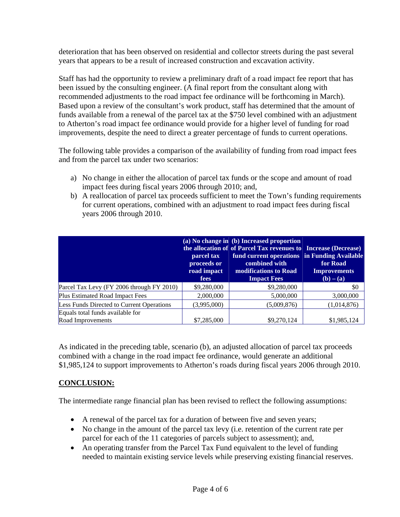deterioration that has been observed on residential and collector streets during the past several years that appears to be a result of increased construction and excavation activity.

Staff has had the opportunity to review a preliminary draft of a road impact fee report that has been issued by the consulting engineer. (A final report from the consultant along with recommended adjustments to the road impact fee ordinance will be forthcoming in March). Based upon a review of the consultant's work product, staff has determined that the amount of funds available from a renewal of the parcel tax at the \$750 level combined with an adjustment to Atherton's road impact fee ordinance would provide for a higher level of funding for road improvements, despite the need to direct a greater percentage of funds to current operations.

The following table provides a comparison of the availability of funding from road impact fees and from the parcel tax under two scenarios:

- a) No change in either the allocation of parcel tax funds or the scope and amount of road impact fees during fiscal years 2006 through 2010; and,
- b) A reallocation of parcel tax proceeds sufficient to meet the Town's funding requirements for current operations, combined with an adjustment to road impact fees during fiscal years 2006 through 2010.

|                                           | parcel tax<br>proceeds or<br>road impact<br><b>fees</b> | (a) No change in (b) Increased proportion<br>the allocation of of Parcel Tax revenues to Increase (Decrease)<br>fund current operations in Funding Available<br>combined with<br>modifications to Road<br><b>Impact Fees</b> | for Road<br><b>Improvements</b><br>$(b) - (a)$ |
|-------------------------------------------|---------------------------------------------------------|------------------------------------------------------------------------------------------------------------------------------------------------------------------------------------------------------------------------------|------------------------------------------------|
| Parcel Tax Levy (FY 2006 through FY 2010) | \$9,280,000                                             | \$9,280,000                                                                                                                                                                                                                  | \$0                                            |
| Plus Estimated Road Impact Fees           | 2,000,000                                               | 5,000,000                                                                                                                                                                                                                    | 3,000,000                                      |
| Less Funds Directed to Current Operations | (3,995,000)                                             | (5,009,876)                                                                                                                                                                                                                  | (1,014,876)                                    |
| Equals total funds available for          |                                                         |                                                                                                                                                                                                                              |                                                |
| Road Improvements                         | \$7,285,000                                             | \$9,270,124                                                                                                                                                                                                                  | \$1,985,124                                    |

As indicated in the preceding table, scenario (b), an adjusted allocation of parcel tax proceeds combined with a change in the road impact fee ordinance, would generate an additional \$1,985,124 to support improvements to Atherton's roads during fiscal years 2006 through 2010.

# **CONCLUSION:**

The intermediate range financial plan has been revised to reflect the following assumptions:

- A renewal of the parcel tax for a duration of between five and seven years;
- No change in the amount of the parcel tax levy (i.e. retention of the current rate per parcel for each of the 11 categories of parcels subject to assessment); and,
- An operating transfer from the Parcel Tax Fund equivalent to the level of funding needed to maintain existing service levels while preserving existing financial reserves.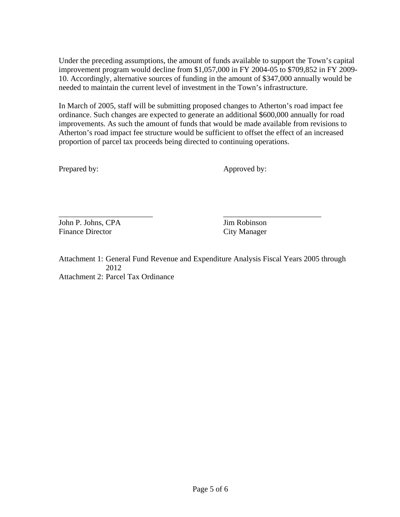Under the preceding assumptions, the amount of funds available to support the Town's capital improvement program would decline from \$1,057,000 in FY 2004-05 to \$709,852 in FY 2009- 10. Accordingly, alternative sources of funding in the amount of \$347,000 annually would be needed to maintain the current level of investment in the Town's infrastructure.

In March of 2005, staff will be submitting proposed changes to Atherton's road impact fee ordinance. Such changes are expected to generate an additional \$600,000 annually for road improvements. As such the amount of funds that would be made available from revisions to Atherton's road impact fee structure would be sufficient to offset the effect of an increased proportion of parcel tax proceeds being directed to continuing operations.

Prepared by: Approved by:

\_\_\_\_\_\_\_\_\_\_\_\_\_\_\_\_\_\_\_\_\_\_\_\_ \_\_\_\_\_\_\_\_\_\_\_\_\_\_\_\_\_\_\_\_\_\_\_\_\_ John P. Johns, CPA Jim Robinson Finance Director City Manager

Attachment 1: General Fund Revenue and Expenditure Analysis Fiscal Years 2005 through 2012 Attachment 2: Parcel Tax Ordinance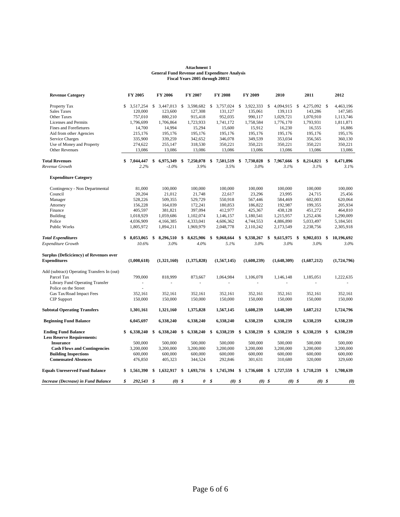#### **General Fund Revenue and Expenditure Analysis Fiscal Years 2005 through 20012 Attachment 1**

| <b>Revenue Category</b>                                               | FY 2005         |      | <b>FY 2006</b> | <b>FY 2007</b>  | <b>FY 2008</b>  | FY 2009         | 2010            | 2011               |      | 2012        |
|-----------------------------------------------------------------------|-----------------|------|----------------|-----------------|-----------------|-----------------|-----------------|--------------------|------|-------------|
| Property Tax                                                          | \$<br>3,517,254 | \$   | 3,447,013      | \$<br>3,598,682 | \$<br>3,757,024 | \$<br>3,922,333 | \$<br>4,094,915 | \$<br>4,275,092    | -S   | 4,463,196   |
| <b>Sales Taxes</b>                                                    | 120,000         |      | 123,600        | 127,308         | 131,127         | 135,061         | 139,113         | 143,286            |      | 147,585     |
| Other Taxes                                                           | 757,010         |      | 880,210        | 915,418         | 952,035         | 990,117         | 1,029,721       | 1,070,910          |      | 1,113,746   |
| Licenses and Permits                                                  | 1,796,699       |      | 1,706,864      | 1,723,933       | 1,741,172       | 1,758,584       | 1,776,170       | 1,793,931          |      | 1,811,871   |
| Fines and Forefietures                                                | 14,700          |      | 14,994         | 15,294          | 15,600          | 15,912          | 16,230          | 16,555             |      | 16,886      |
| Aid from other Agencies                                               | 215,176         |      | 195,176        | 195,176         | 195,176         | 195,176         | 195,176         | 195,176            |      | 195,176     |
| Service Charges                                                       | 335,900         |      | 339,259        | 342,652         | 346,078         | 349,539         | 353,034         | 356,565            |      | 360,130     |
| Use of Money and Property                                             | 274,622         |      | 255,147        | 318,530         | 350,221         | 350,221         | 350,221         | 350,221            |      | 350,221     |
| <b>Other Revenues</b>                                                 | 13,086          |      | 13,086         | 13,086          | 13,086          | 13,086          | 13,086          | 13,086             |      | 13,086      |
| <b>Total Revenues</b>                                                 | 7,044,447       | \$   | 6,975,349      | \$<br>7,250,078 | \$<br>7,501,519 | \$<br>7,730,028 | \$<br>7,967,666 | \$<br>8,214,821 \$ |      | 8,471,896   |
| Revenue Growth                                                        | 2.2%            |      | $-1.0\%$       | 3.9%            | 3.5%            | 3.0%            | 3.1%            | 3.1%               |      | 3.1%        |
| <b>Expenditure Category</b>                                           |                 |      |                |                 |                 |                 |                 |                    |      |             |
| Contingency - Non Departmental                                        | 81,000          |      | 100,000        | 100,000         | 100,000         | 100,000         | 100,000         | 100,000            |      | 100,000     |
| Council                                                               | 20,204          |      | 21,012         | 21,748          | 22,617          | 23,296          | 23,995          | 24,715             |      | 25,456      |
| Manager                                                               | 528,226         |      | 509,355        | 529,729         | 550,918         | 567,446         | 584,469         | 602,003            |      | 620,064     |
| Attorney                                                              | 156,228         |      | 164,039        | 172,241         | 180,853         | 186,822         | 192,987         | 199,355            |      | 205,934     |
| Finance                                                               | 405,597         |      | 381,821        | 397,094         | 412,977         | 425,367         | 438,128         | 451,272            |      | 464,810     |
| <b>Building</b>                                                       | 1,018,929       |      | 1,059,686      | 1,102,074       | 1,146,157       | 1,180,541       | 1,215,957       | 1,252,436          |      | 1,290,009   |
| Police                                                                | 4,036,909       |      | 4,166,385      | 4,333,041       | 4,606,362       | 4,744,553       | 4,886,890       | 5,033,497          |      | 5,184,501   |
| <b>Public Works</b>                                                   | 1,805,972       |      | 1,894,211      | 1,969,979       | 2,048,778       | 2,110,242       | 2,173,549       | 2,238,756          |      | 2,305,918   |
| <b>Total Expenditures</b>                                             | \$<br>8,053,065 | \$   | 8,296,510      | \$<br>8,625,906 | \$<br>9,068,664 | \$<br>9,338,267 | \$<br>9,615,975 | \$<br>9,902,033    | \$   | 10,196,692  |
| <b>Expenditure Growth</b>                                             | 10.6%           |      | 3.0%           | 4.0%            | 5.1%            | 3.0%            | 3.0%            | 3.0%               |      | 3.0%        |
| <b>Surplus (Deficiciency) of Revenues over</b><br><b>Expenditures</b> | (1,008,618)     |      | (1,321,160)    | (1,375,828)     | (1,567,145)     | (1,608,239)     | (1,648,309)     | (1,687,212)        |      | (1,724,796) |
|                                                                       |                 |      |                |                 |                 |                 |                 |                    |      |             |
| Add (subtract) Operating Transfers In (out)<br>Parcel Tax             | 799,000         |      | 818,999        | 873,667         | 1,064,984       | 1,106,078       | 1,146,148       | 1,185,051          |      | 1,222,635   |
| <b>Library Fund Operating Transfer</b>                                | ÷               |      | ä,             | ÷,              |                 |                 | ä,              |                    |      |             |
| Police on the Street                                                  |                 |      |                |                 |                 |                 |                 |                    |      |             |
| Gas Tax/Road Impact Fees                                              | 352,161         |      | 352,161        | 352,161         | 352,161         | 352,161         | 352,161         | 352,161            |      | 352,161     |
| <b>CIP</b> Support                                                    | 150,000         |      | 150,000        | 150,000         | 150,000         | 150,000         | 150,000         | 150,000            |      | 150,000     |
|                                                                       |                 |      |                |                 |                 |                 |                 |                    |      |             |
| <b>Subtotal Operating Transfers</b>                                   | 1,301,161       |      | 1,321,160      | 1,375,828       | 1,567,145       | 1,608,239       | 1,648,309       | 1,687,212          |      | 1,724,796   |
| <b>Beginning Fund Balance</b>                                         | 6,045,697       |      | 6,338,240      | 6,338,240       | 6,338,240       | 6,338,239       | 6,338,239       | 6,338,239          |      | 6,338,239   |
| <b>Ending Fund Balance</b>                                            | \$<br>6,338,240 | \$   | 6,338,240      | \$<br>6,338,240 | \$<br>6,338,239 | \$<br>6,338,239 | \$<br>6,338,239 | \$<br>6,338,239 \$ |      | 6,338,239   |
| <b>Less Reserve Requirements:</b>                                     |                 |      |                |                 |                 |                 |                 |                    |      |             |
| <b>Insurance</b>                                                      | 500,000         |      | 500,000        | 500,000         | 500,000         | 500,000         | 500,000         | 500,000            |      | 500,000     |
| <b>Cash Flows and Contingencies</b>                                   | 3,200,000       |      | 3,200,000      | 3,200,000       | 3,200,000       | 3,200,000       | 3,200,000       | 3,200,000          |      | 3,200,000   |
| <b>Building Inspections</b>                                           | 600,000         |      | 600,000        | 600,000         | 600,000         | 600,000         | 600,000         | 600,000            |      | 600,000     |
| <b>Comensated Absences</b>                                            | 476,850         |      | 405,323        | 344,524         | 292,846         | 301,631         | 310,680         | 320,000            |      | 329,600     |
| <b>Equals Unreserved Fund Balance</b>                                 | \$<br>1,561,390 | -\$  | 1,632,917      | \$<br>1,693,716 | \$<br>1,745,394 | \$<br>1,736,608 | \$<br>1,727,559 | \$<br>1,718,239    | - \$ | 1,708,639   |
| Increase (Decrease) in Fund Balance                                   | \$<br>292,543   | - \$ | $(0)$ \$       | 0               | \$<br>$(0)$ \$  | $(0)$ \$        | $(0)$ \$        | $(0)$ \$           |      | (0)         |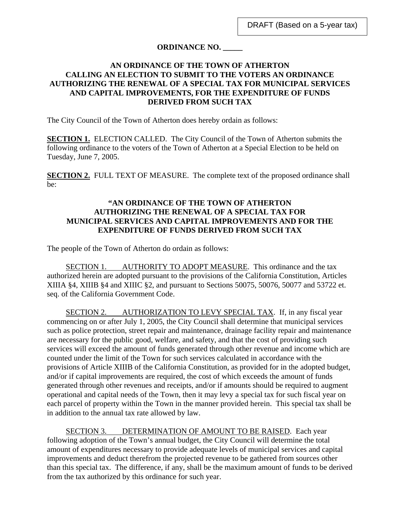# **ORDINANCE NO. \_\_\_\_\_**

# **AN ORDINANCE OF THE TOWN OF ATHERTON CALLING AN ELECTION TO SUBMIT TO THE VOTERS AN ORDINANCE AUTHORIZING THE RENEWAL OF A SPECIAL TAX FOR MUNICIPAL SERVICES AND CAPITAL IMPROVEMENTS, FOR THE EXPENDITURE OF FUNDS DERIVED FROM SUCH TAX**

The City Council of the Town of Atherton does hereby ordain as follows:

**SECTION 1.** ELECTION CALLED. The City Council of the Town of Atherton submits the following ordinance to the voters of the Town of Atherton at a Special Election to be held on Tuesday, June 7, 2005.

**SECTION 2.** FULL TEXT OF MEASURE. The complete text of the proposed ordinance shall be:

## **"AN ORDINANCE OF THE TOWN OF ATHERTON AUTHORIZING THE RENEWAL OF A SPECIAL TAX FOR MUNICIPAL SERVICES AND CAPITAL IMPROVEMENTS AND FOR THE EXPENDITURE OF FUNDS DERIVED FROM SUCH TAX**

The people of the Town of Atherton do ordain as follows:

SECTION 1. AUTHORITY TO ADOPT MEASURE. This ordinance and the tax authorized herein are adopted pursuant to the provisions of the California Constitution, Articles XIIIA §4, XIIIB §4 and XIIIC §2, and pursuant to Sections 50075, 50076, 50077 and 53722 et. seq. of the California Government Code.

SECTION 2. AUTHORIZATION TO LEVY SPECIAL TAX. If, in any fiscal year commencing on or after July 1, 2005, the City Council shall determine that municipal services such as police protection, street repair and maintenance, drainage facility repair and maintenance are necessary for the public good, welfare, and safety, and that the cost of providing such services will exceed the amount of funds generated through other revenue and income which are counted under the limit of the Town for such services calculated in accordance with the provisions of Article XIIIB of the California Constitution, as provided for in the adopted budget, and/or if capital improvements are required, the cost of which exceeds the amount of funds generated through other revenues and receipts, and/or if amounts should be required to augment operational and capital needs of the Town, then it may levy a special tax for such fiscal year on each parcel of property within the Town in the manner provided herein. This special tax shall be in addition to the annual tax rate allowed by law.

SECTION 3. DETERMINATION OF AMOUNT TO BE RAISED. Each year following adoption of the Town's annual budget, the City Council will determine the total amount of expenditures necessary to provide adequate levels of municipal services and capital improvements and deduct therefrom the projected revenue to be gathered from sources other than this special tax. The difference, if any, shall be the maximum amount of funds to be derived from the tax authorized by this ordinance for such year.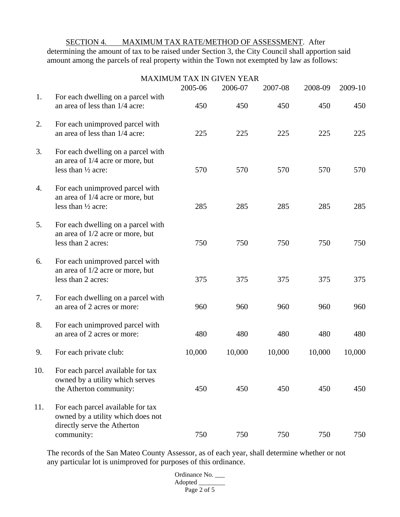#### SECTION 4. MAXIMUM TAX RATE/METHOD OF ASSESSMENT. After

determining the amount of tax to be raised under Section 3, the City Council shall apportion said amount among the parcels of real property within the Town not exempted by law as follows:

|     |                                                                                                                     |         | <b>MAXIMUM TAX IN GIVEN YEAR</b> |         |         |         |
|-----|---------------------------------------------------------------------------------------------------------------------|---------|----------------------------------|---------|---------|---------|
|     |                                                                                                                     | 2005-06 | 2006-07                          | 2007-08 | 2008-09 | 2009-10 |
| 1.  | For each dwelling on a parcel with<br>an area of less than 1/4 acre:                                                | 450     | 450                              | 450     | 450     | 450     |
| 2.  | For each unimproved parcel with<br>an area of less than 1/4 acre:                                                   | 225     | 225                              | 225     | 225     | 225     |
| 3.  | For each dwelling on a parcel with<br>an area of 1/4 acre or more, but<br>less than 1/2 acre:                       | 570     | 570                              | 570     | 570     | 570     |
| 4.  | For each unimproved parcel with<br>an area of 1/4 acre or more, but<br>less than 1/2 acre:                          | 285     | 285                              | 285     | 285     | 285     |
| 5.  | For each dwelling on a parcel with<br>an area of 1/2 acre or more, but<br>less than 2 acres:                        | 750     | 750                              | 750     | 750     | 750     |
| 6.  | For each unimproved parcel with<br>an area of 1/2 acre or more, but<br>less than 2 acres:                           | 375     | 375                              | 375     | 375     | 375     |
| 7.  | For each dwelling on a parcel with<br>an area of 2 acres or more:                                                   | 960     | 960                              | 960     | 960     | 960     |
| 8.  | For each unimproved parcel with<br>an area of 2 acres or more:                                                      | 480     | 480                              | 480     | 480     | 480     |
| 9.  | For each private club:                                                                                              | 10,000  | 10,000                           | 10,000  | 10,000  | 10,000  |
| 10. | For each parcel available for tax<br>owned by a utility which serves<br>the Atherton community:                     | 450     | 450                              | 450     | 450     | 450     |
| 11. | For each parcel available for tax<br>owned by a utility which does not<br>directly serve the Atherton<br>community: | 750     | 750                              | 750     | 750     | 750     |

The records of the San Mateo County Assessor, as of each year, shall determine whether or not any particular lot is unimproved for purposes of this ordinance.

> Ordinance No. \_\_\_ Adopted \_\_\_\_\_\_\_\_ Page 2 of 5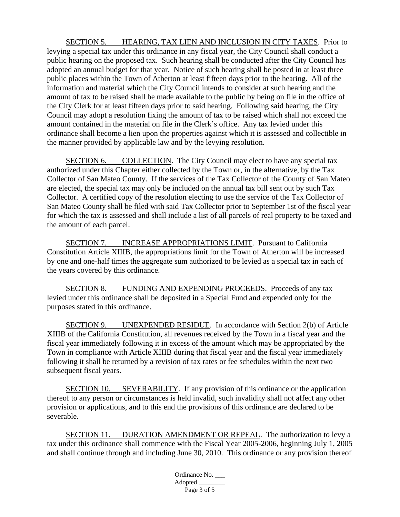SECTION 5. HEARING, TAX LIEN AND INCLUSION IN CITY TAXES. Prior to levying a special tax under this ordinance in any fiscal year, the City Council shall conduct a public hearing on the proposed tax. Such hearing shall be conducted after the City Council has adopted an annual budget for that year. Notice of such hearing shall be posted in at least three public places within the Town of Atherton at least fifteen days prior to the hearing. All of the information and material which the City Council intends to consider at such hearing and the amount of tax to be raised shall be made available to the public by being on file in the office of the City Clerk for at least fifteen days prior to said hearing. Following said hearing, the City Council may adopt a resolution fixing the amount of tax to be raised which shall not exceed the amount contained in the material on file in the Clerk's office. Any tax levied under this ordinance shall become a lien upon the properties against which it is assessed and collectible in the manner provided by applicable law and by the levying resolution.

SECTION 6. COLLECTION. The City Council may elect to have any special tax authorized under this Chapter either collected by the Town or, in the alternative, by the Tax Collector of San Mateo County. If the services of the Tax Collector of the County of San Mateo are elected, the special tax may only be included on the annual tax bill sent out by such Tax Collector. A certified copy of the resolution electing to use the service of the Tax Collector of San Mateo County shall be filed with said Tax Collector prior to September 1st of the fiscal year for which the tax is assessed and shall include a list of all parcels of real property to be taxed and the amount of each parcel.

SECTION 7. INCREASE APPROPRIATIONS LIMIT. Pursuant to California Constitution Article XIIIB, the appropriations limit for the Town of Atherton will be increased by one and one-half times the aggregate sum authorized to be levied as a special tax in each of the years covered by this ordinance.

SECTION 8. FUNDING AND EXPENDING PROCEEDS. Proceeds of any tax levied under this ordinance shall be deposited in a Special Fund and expended only for the purposes stated in this ordinance.

SECTION 9. UNEXPENDED RESIDUE. In accordance with Section 2(b) of Article XIIIB of the California Constitution, all revenues received by the Town in a fiscal year and the fiscal year immediately following it in excess of the amount which may be appropriated by the Town in compliance with Article XIIIB during that fiscal year and the fiscal year immediately following it shall be returned by a revision of tax rates or fee schedules within the next two subsequent fiscal years.

SECTION 10. SEVERABILITY. If any provision of this ordinance or the application thereof to any person or circumstances is held invalid, such invalidity shall not affect any other provision or applications, and to this end the provisions of this ordinance are declared to be severable.

SECTION 11. DURATION AMENDMENT OR REPEAL. The authorization to levy a tax under this ordinance shall commence with the Fiscal Year 2005-2006, beginning July 1, 2005 and shall continue through and including June 30, 2010. This ordinance or any provision thereof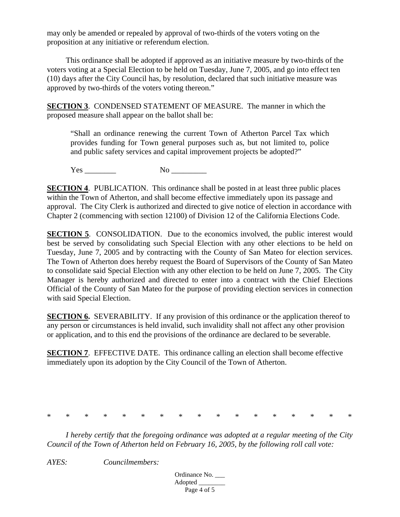may only be amended or repealed by approval of two-thirds of the voters voting on the proposition at any initiative or referendum election.

 This ordinance shall be adopted if approved as an initiative measure by two-thirds of the voters voting at a Special Election to be held on Tuesday, June 7, 2005, and go into effect ten (10) days after the City Council has, by resolution, declared that such initiative measure was approved by two-thirds of the voters voting thereon."

**SECTION 3**. CONDENSED STATEMENT OF MEASURE. The manner in which the proposed measure shall appear on the ballot shall be:

"Shall an ordinance renewing the current Town of Atherton Parcel Tax which provides funding for Town general purposes such as, but not limited to, police and public safety services and capital improvement projects be adopted?"

Yes No

**SECTION 4.** PUBLICATION. This ordinance shall be posted in at least three public places within the Town of Atherton, and shall become effective immediately upon its passage and approval. The City Clerk is authorized and directed to give notice of election in accordance with Chapter 2 (commencing with section 12100) of Division 12 of the California Elections Code.

**SECTION 5.** CONSOLIDATION. Due to the economics involved, the public interest would best be served by consolidating such Special Election with any other elections to be held on Tuesday, June 7, 2005 and by contracting with the County of San Mateo for election services. The Town of Atherton does hereby request the Board of Supervisors of the County of San Mateo to consolidate said Special Election with any other election to be held on June 7, 2005. The City Manager is hereby authorized and directed to enter into a contract with the Chief Elections Official of the County of San Mateo for the purpose of providing election services in connection with said Special Election.

**SECTION 6.** SEVERABILITY. If any provision of this ordinance or the application thereof to any person or circumstances is held invalid, such invalidity shall not affect any other provision or application, and to this end the provisions of the ordinance are declared to be severable.

**SECTION 7.** EFFECTIVE DATE. This ordinance calling an election shall become effective immediately upon its adoption by the City Council of the Town of Atherton.

\* \* \* \* \* \* \* \* \* \* \* \* \* \* \* \* \*

 *I hereby certify that the foregoing ordinance was adopted at a regular meeting of the City Council of the Town of Atherton held on February 16, 2005, by the following roll call vote:* 

*AYES: Councilmembers:*